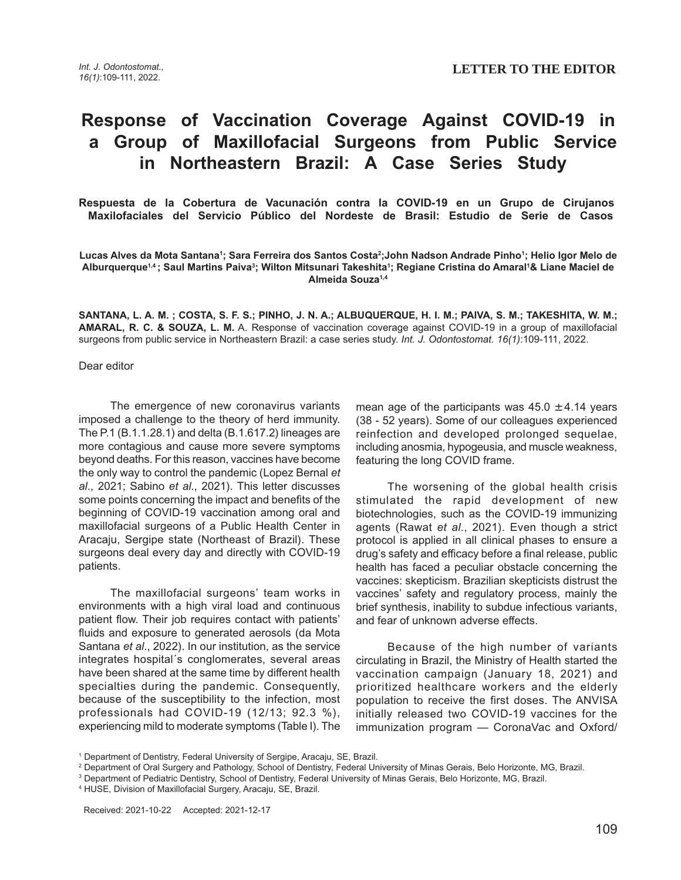## **Response of Vaccination Coverage Against COVID-19 in a Group of Maxillofacial Surgeons from Public Service in Northeastern Brazil: A Case Series Study**

**Respuesta de la Cobertura de Vacunación contra la COVID-19 en un Grupo de Cirujanos Maxilofaciales del Servicio Público del Nordeste de Brasil: Estudio de Serie de Casos**

**Lucas Alves da Mota Santana1 ; Sara Ferreira dos Santos Costa2 ;John Nadson Andrade Pinho1 ; Helio Igor Melo de** Alburquerque<sup>1,4</sup> ; Saul Martins Paiva<sup>3</sup>; Wilton Mitsunari Takeshita<sup>ı</sup>; Regiane Cristina do Amaral<sup>1</sup>& Liane Maciel de **Almeida Souza1,4**

**SANTANA, L. A. M. ; COSTA, S. F. S.; PINHO, J. N. A.; ALBUQUERQUE, H. I. M.; PAIVA, S. M.; TAKESHITA, W. M.; AMARAL, R. C. & SOUZA, L. M.** A. Response of vaccination coverage against COVID-19 in a group of maxillofacial surgeons from public service in Northeastern Brazil: a case series study. Int. J. Odontostomat. 16(1):109-111, 2022.

Dear editor

The emergence of new coronavirus variants imposed a challenge to the theory of herd immunity. The P.1 (B.1.1.28.1) and delta (B.1.617.2) lineages are more contagious and cause more severe symptoms beyond deaths. For this reason, vaccines have become the only way to control the pandemic (Lopez Bernal et al., 2021; Sabino et al., 2021). This letter discusses some points concerning the impact and benefits of the beginning of COVID-19 vaccination among oral and maxillofacial surgeons of a Public Health Center in Aracaju, Sergipe state (Northeast of Brazil). These surgeons deal every day and directly with COVID-19 patients.

The maxillofacial surgeons' team works in environments with a high viral load and continuous patient flow. Their job requires contact with patients' fluids and exposure to generated aerosols (da Mota Santana et al., 2022). In our institution, as the service integrates hospital´s conglomerates, several areas have been shared at the same time by different health specialties during the pandemic. Consequently, because of the susceptibility to the infection, most professionals had COVID-19 (12/13; 92.3 %), experiencing mild to moderate symptoms (Table I). The

mean age of the participants was  $45.0 \pm 4.14$  years (38 - 52 years). Some of our colleagues experienced reinfection and developed prolonged sequelae, including anosmia, hypogeusia, and muscle weakness, featuring the long COVID frame.

The worsening of the global health crisis stimulated the rapid development of new biotechnologies, such as the COVID-19 immunizing agents (Rawat et al., 2021). Even though a strict protocol is applied in all clinical phases to ensure a drug's safety and efficacy before a final release, public health has faced a peculiar obstacle concerning the vaccines: skepticism. Brazilian skepticists distrust the vaccines' safety and regulatory process, mainly the brief synthesis, inability to subdue infectious variants, and fear of unknown adverse effects.

Because of the high number of variants circulating in Brazil, the Ministry of Health started the vaccination campaign (January 18, 2021) and prioritized healthcare workers and the elderly population to receive the first doses. The ANVISA initially released two COVID-19 vaccines for the immunization program — CoronaVac and Oxford/

<sup>&</sup>lt;sup>1</sup> Department of Dentistry, Federal University of Sergipe, Aracaju, SE, Brazil.

<sup>2</sup> Department of Oral Surgery and Pathology, School of Dentistry, Federal University of Minas Gerais, Belo Horizonte, MG, Brazil.

<sup>3</sup> Department of Pediatric Dentistry, School of Dentistry, Federal University of Minas Gerais, Belo Horizonte, MG, Brazil.

<sup>4</sup> HUSE, Division of Maxillofacial Surgery, Aracaju, SE, Brazil.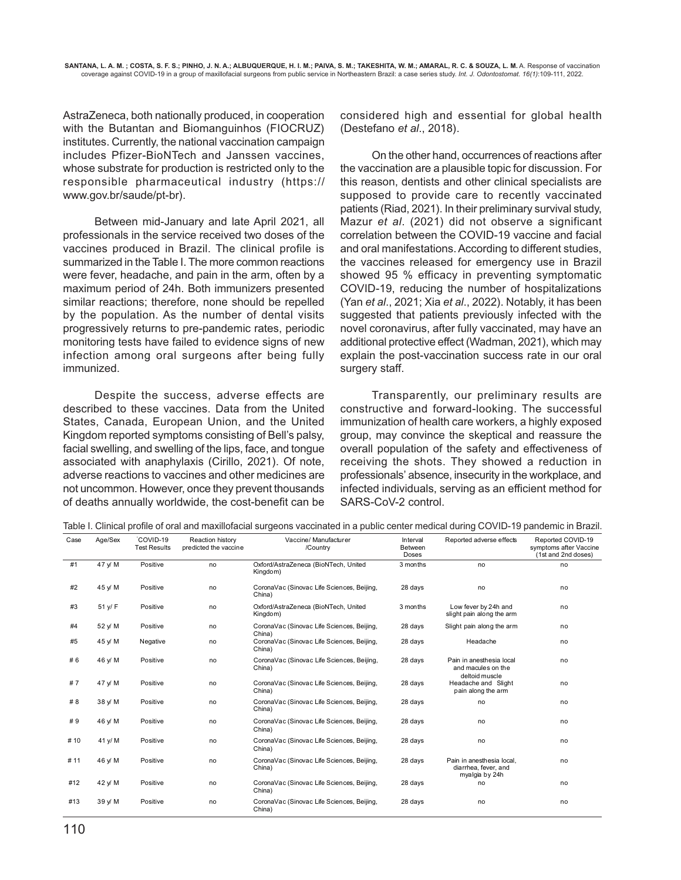AstraZeneca, both nationally produced, in cooperation with the Butantan and Biomanguinhos (FIOCRUZ) institutes. Currently, the national vaccination campaign includes Pfizer-BioNTech and Janssen vaccines, whose substrate for production is restricted only to the responsible pharmaceutical industry (https:// www.gov.br/saude/pt-br).

Between mid-January and late April 2021, all professionals in the service received two doses of the vaccines produced in Brazil. The clinical profile is summarized in the Table I. The more common reactions were fever, headache, and pain in the arm, often by a maximum period of 24h. Both immunizers presented similar reactions; therefore, none should be repelled by the population. As the number of dental visits progressively returns to pre-pandemic rates, periodic monitoring tests have failed to evidence signs of new infection among oral surgeons after being fully immunized.

Despite the success, adverse effects are described to these vaccines. Data from the United States, Canada, European Union, and the United Kingdom reported symptoms consisting of Bell's palsy, facial swelling, and swelling of the lips, face, and tongue associated with anaphylaxis (Cirillo, 2021). Of note, adverse reactions to vaccines and other medicines are not uncommon. However, once they prevent thousands of deaths annually worldwide, the cost-benefit can be considered high and essential for global health (Destefano et al., 2018).

On the other hand, occurrences of reactions after the vaccination are a plausible topic for discussion. For this reason, dentists and other clinical specialists are supposed to provide care to recently vaccinated patients (Riad, 2021). In their preliminary survival study, Mazur et al. (2021) did not observe a significant correlation between the COVID-19 vaccine and facial and oral manifestations. According to different studies, the vaccines released for emergency use in Brazil showed 95 % efficacy in preventing symptomatic COVID-19, reducing the number of hospitalizations (Yan et al., 2021; Xia et al., 2022). Notably, it has been suggested that patients previously infected with the novel coronavirus, after fully vaccinated, may have an additional protective effect (Wadman, 2021), which may explain the post-vaccination success rate in our oral surgery staff.

Transparently, our preliminary results are constructive and forward-looking. The successful immunization of health care workers, a highly exposed group, may convince the skeptical and reassure the overall population of the safety and effectiveness of receiving the shots. They showed a reduction in professionals' absence, insecurity in the workplace, and infected individuals, serving as an efficient method for SARS-CoV-2 control.

| Case | Age/Sex | COVID-19<br><b>Test Results</b> | <b>Reaction history</b><br>predicted the vaccine | Vaccine/ Manufacturer<br>/Country                    | Interval<br>Between<br>Doses | Reported adverse effects                                            | Reported COVID-19<br>symptoms after Vaccine<br>(1st and 2nd doses) |
|------|---------|---------------------------------|--------------------------------------------------|------------------------------------------------------|------------------------------|---------------------------------------------------------------------|--------------------------------------------------------------------|
| #1   | 47 y/ M | Positive                        | no                                               | Oxford/AstraZeneca (BioNTech, United<br>Kingdom)     | 3 months                     | no                                                                  | no                                                                 |
| #2   | 45 y/ M | Positive                        | no                                               | CoronaVac (Sinovac Life Sciences, Beijing,<br>China) | 28 days                      | no                                                                  | no                                                                 |
| #3   | 51 y/ F | Positive                        | no                                               | Oxford/AstraZeneca (BioNTech, United<br>Kingdom)     | 3 months                     | Low fever by 24h and<br>slight pain along the arm                   | no                                                                 |
| #4   | 52 y/ M | Positive                        | no                                               | CoronaVac (Sinovac Life Sciences, Beijing,<br>China) | 28 days                      | Slight pain along the arm                                           | no                                                                 |
| #5   | 45 y/ M | Negative                        | no                                               | CoronaVac (Sinovac Life Sciences, Beijing,<br>China) | 28 days                      | Headache                                                            | no                                                                 |
| # 6  | 46 y/ M | Positive                        | no                                               | CoronaVac (Sinovac Life Sciences, Beijing,<br>China) | 28 days                      | Pain in anesthesia local<br>and macules on the<br>deltoid muscle    | no                                                                 |
| #7   | 47 y/ M | Positive                        | no                                               | CoronaVac (Sinovac Life Sciences, Beijing,<br>China) | 28 days                      | Headache and Slight<br>pain along the arm                           | no                                                                 |
| # 8  | 38 y/ M | Positive                        | no                                               | CoronaVac (Sinovac Life Sciences, Beijing,<br>China) | 28 days                      | no                                                                  | no                                                                 |
| #9   | 46 y/ M | Positive                        | no                                               | CoronaVac (Sinovac Life Sciences, Beijing,<br>China) | 28 days                      | no                                                                  | no                                                                 |
| # 10 | 41 y/ M | Positive                        | no                                               | CoronaVac (Sinovac Life Sciences, Beijing,<br>China) | 28 days                      | no                                                                  | no                                                                 |
| #11  | 46 y/ M | Positive                        | no                                               | CoronaVac (Sinovac Life Sciences, Beijing,<br>China) | 28 days                      | Pain in anesthesia local.<br>diarrhea, fever, and<br>myalgia by 24h | no                                                                 |
| #12  | 42 y/ M | Positive                        | no                                               | CoronaVac (Sinovac Life Sciences, Beijing,<br>China) | 28 days                      | no                                                                  | no                                                                 |
| #13  | 39 y/ M | Positive                        | no                                               | CoronaVac (Sinovac Life Sciences, Beijing,<br>China) | 28 days                      | no                                                                  | no                                                                 |

Table I. Clinical profile of oral and maxillofacial surgeons vaccinated in a public center medical during COVID-19 pandemic in Brazil.